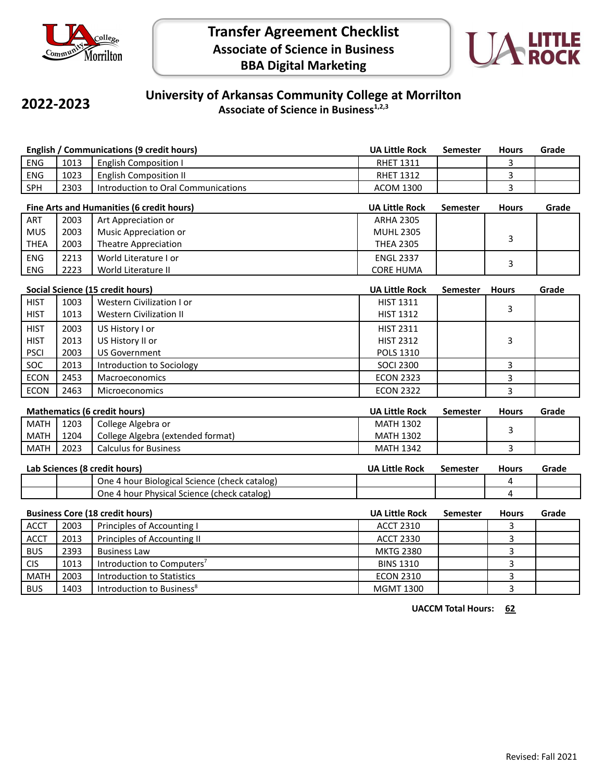



## **2022-2023**

## **University of Arkansas Community College at Morrilton Associate of Science in Business1,2,3**

| <b>English / Communications (9 credit hours)</b> |                                    |                                               | <b>UA Little Rock</b> | <b>Semester</b> | <b>Hours</b> | Grade |
|--------------------------------------------------|------------------------------------|-----------------------------------------------|-----------------------|-----------------|--------------|-------|
| <b>ENG</b>                                       | 1013                               | <b>English Composition I</b>                  | <b>RHET 1311</b>      |                 | 3            |       |
| <b>ENG</b>                                       | 1023                               | <b>English Composition II</b>                 | <b>RHET 1312</b>      |                 | 3            |       |
| SPH                                              | 2303                               | Introduction to Oral Communications           | <b>ACOM 1300</b>      |                 | 3            |       |
| Fine Arts and Humanities (6 credit hours)        |                                    |                                               | <b>UA Little Rock</b> | <b>Semester</b> | <b>Hours</b> | Grade |
| ART                                              | 2003                               | Art Appreciation or                           | <b>ARHA 2305</b>      |                 |              |       |
| <b>MUS</b>                                       | 2003                               | Music Appreciation or                         | <b>MUHL 2305</b>      |                 | 3            |       |
| <b>THEA</b>                                      | 2003                               | <b>Theatre Appreciation</b>                   | <b>THEA 2305</b>      |                 |              |       |
| <b>ENG</b>                                       | 2213                               | World Literature I or                         | <b>ENGL 2337</b>      |                 | 3            |       |
| <b>ENG</b>                                       | 2223                               | World Literature II                           | <b>CORE HUMA</b>      |                 |              |       |
| <b>Social Science (15 credit hours)</b>          |                                    |                                               | <b>UA Little Rock</b> | <b>Semester</b> | <b>Hours</b> | Grade |
| <b>HIST</b>                                      | 1003                               | Western Civilization I or                     | <b>HIST 1311</b>      |                 |              |       |
| <b>HIST</b>                                      | 1013                               | <b>Western Civilization II</b>                | <b>HIST 1312</b>      |                 | 3            |       |
| <b>HIST</b>                                      | 2003                               | US History I or                               | <b>HIST 2311</b>      |                 |              |       |
| <b>HIST</b>                                      | 2013                               | US History II or                              | <b>HIST 2312</b>      |                 | 3            |       |
| <b>PSCI</b>                                      | 2003                               | <b>US Government</b>                          | <b>POLS 1310</b>      |                 |              |       |
| SOC                                              | 2013                               | Introduction to Sociology                     | <b>SOCI 2300</b>      |                 | 3            |       |
| <b>ECON</b>                                      | 2453                               | Macroeconomics                                | <b>ECON 2323</b>      |                 | 3            |       |
| <b>ECON</b>                                      | 2463                               | Microeconomics                                | <b>ECON 2322</b>      |                 | 3            |       |
| <b>Mathematics (6 credit hours)</b>              |                                    |                                               | <b>UA Little Rock</b> | <b>Semester</b> | <b>Hours</b> | Grade |
| <b>MATH</b>                                      | 1203                               | College Algebra or                            | <b>MATH 1302</b>      |                 |              |       |
| <b>MATH</b>                                      | 1204                               | College Algebra (extended format)             | <b>MATH 1302</b>      |                 | 3            |       |
| <b>MATH</b>                                      | 2023                               | <b>Calculus for Business</b>                  | <b>MATH 1342</b>      |                 | 3            |       |
|                                                  | Lab Sciences (8 credit hours)      |                                               |                       | <b>Semester</b> | <b>Hours</b> | Grade |
|                                                  |                                    | One 4 hour Biological Science (check catalog) |                       |                 | 4            |       |
|                                                  |                                    | One 4 hour Physical Science (check catalog)   |                       |                 | 4            |       |
| <b>Business Core (18 credit hours)</b>           |                                    | <b>UA Little Rock</b>                         | Semester              | <b>Hours</b>    | Grade        |       |
| <b>ACCT</b>                                      | 2003<br>Principles of Accounting I |                                               | <b>ACCT 2310</b>      |                 | 3            |       |
| <b>ACCT</b>                                      | 2013                               | Principles of Accounting II                   | <b>ACCT 2330</b>      |                 | 3            |       |
| <b>BUS</b>                                       | 2393                               | <b>Business Law</b>                           | <b>MKTG 2380</b>      |                 | 3            |       |
| <b>CIS</b>                                       | 1013                               | Introduction to Computers <sup>7</sup>        | <b>BINS 1310</b>      |                 | 3            |       |
| <b>MATH</b>                                      | 2003                               | <b>Introduction to Statistics</b>             | <b>ECON 2310</b>      |                 | 3            |       |
| <b>BUS</b>                                       | 1403                               | Introduction to Business <sup>8</sup>         | <b>MGMT 1300</b>      |                 | 3            |       |

**UACCM Total Hours: 62**